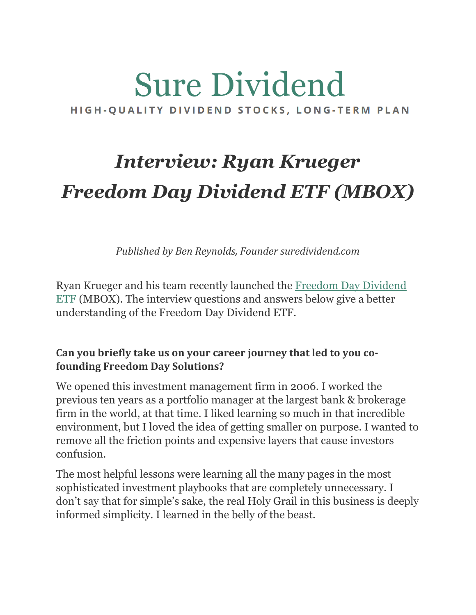# **Sure Dividend** HIGH-QUALITY DIVIDEND STOCKS, LONG-TERM PLAN

# *Interview: Ryan Krueger Freedom Day Dividend ETF (MBOX)*

*Published by Ben Reynolds, Founder suredividend.com* 

Ryan Krueger and his team recently launched the Freedom Day [Dividend](https://freedomdaydividend.com/) [ETF](https://freedomdaydividend.com/) (MBOX). The interview questions and answers below give a better understanding of the Freedom Day Dividend ETF.

#### **Can you briefly take us on your career journey that led to you cofounding Freedom Day Solutions?**

We opened this investment management firm in 2006. I worked the previous ten years as a portfolio manager at the largest bank & brokerage firm in the world, at that time. I liked learning so much in that incredible environment, but I loved the idea of getting smaller on purpose. I wanted to remove all the friction points and expensive layers that cause investors confusion.

The most helpful lessons were learning all the many pages in the most sophisticated investment playbooks that are completely unnecessary. I don't say that for simple's sake, the real Holy Grail in this business is deeply informed simplicity. I learned in the belly of the beast.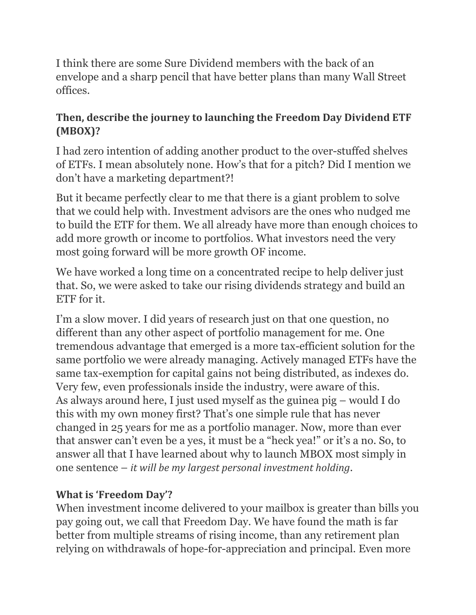I think there are some Sure Dividend members with the back of an envelope and a sharp pencil that have better plans than many Wall Street offices.

#### **Then, describe the journey to launching the Freedom Day Dividend ETF (MBOX)?**

I had zero intention of adding another product to the over-stuffed shelves of ETFs. I mean absolutely none. How's that for a pitch? Did I mention we don't have a marketing department?!

But it became perfectly clear to me that there is a giant problem to solve that we could help with. Investment advisors are the ones who nudged me to build the ETF for them. We all already have more than enough choices to add more growth or income to portfolios. What investors need the very most going forward will be more growth OF income.

We have worked a long time on a concentrated recipe to help deliver just that. So, we were asked to take our rising dividends strategy and build an ETF for it.

I'm a slow mover. I did years of research just on that one question, no different than any other aspect of portfolio management for me. One tremendous advantage that emerged is a more tax-efficient solution for the same portfolio we were already managing. Actively managed ETFs have the same tax-exemption for capital gains not being distributed, as indexes do. Very few, even professionals inside the industry, were aware of this. As always around here, I just used myself as the guinea pig – would I do this with my own money first? That's one simple rule that has never changed in 25 years for me as a portfolio manager. Now, more than ever that answer can't even be a yes, it must be a "heck yea!" or it's a no. So, to answer all that I have learned about why to launch MBOX most simply in one sentence – *it will be my largest personal investment holding*.

#### **What is 'Freedom Day'?**

When investment income delivered to your mailbox is greater than bills you pay going out, we call that Freedom Day. We have found the math is far better from multiple streams of rising income, than any retirement plan relying on withdrawals of hope-for-appreciation and principal. Even more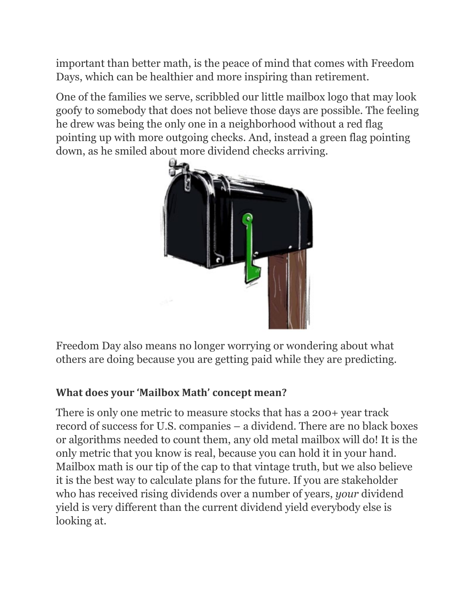important than better math, is the peace of mind that comes with Freedom Days, which can be healthier and more inspiring than retirement.

One of the families we serve, scribbled our little mailbox logo that may look goofy to somebody that does not believe those days are possible. The feeling he drew was being the only one in a neighborhood without a red flag pointing up with more outgoing checks. And, instead a green flag pointing down, as he smiled a[bout more dividend checks arrivin](https://www.suredividend.com/wp-content/uploads/2021/06/Mailbox-Money.png)g.



Freedom Day also means no longer worrying or wondering about what others are doing because you are getting paid while they are predicting.

#### **What does your 'Mailbox Math' concept mean?**

There is only one metric to measure stocks that has a 200+ year track record of success for U.S. companies – a dividend. There are no black boxes or algorithms needed to count them, any old metal mailbox will do! It is the only metric that you know is real, because you can hold it in your hand. Mailbox math is our tip of the cap to that vintage truth, but we also believe it is the best way to calculate plans for the future. If you are stakeholder who has received rising dividends over a number of years, *your* dividend yield is very different than the current dividend yield everybody else is looking at.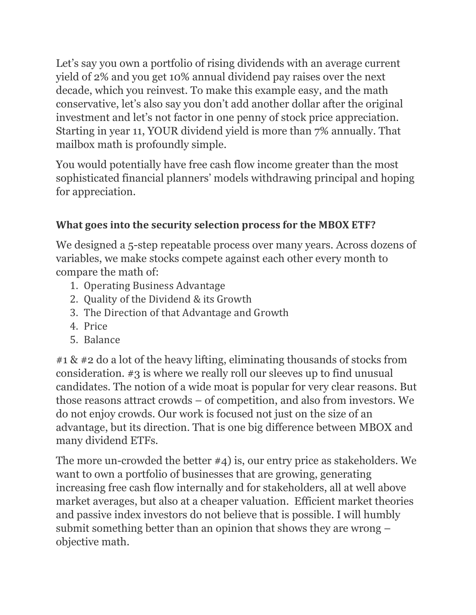Let's say you own a portfolio of rising dividends with an average current yield of 2% and you get 10% annual dividend pay raises over the next decade, which you reinvest. To make this example easy, and the math conservative, let's also say you don't add another dollar after the original investment and let's not factor in one penny of stock price appreciation. Starting in year 11, YOUR dividend yield is more than 7% annually. That mailbox math is profoundly simple.

You would potentially have free cash flow income greater than the most sophisticated financial planners' models withdrawing principal and hoping for appreciation.

## **What goes into the security selection process for the MBOX ETF?**

We designed a 5-step repeatable process over many years. Across dozens of variables, we make stocks compete against each other every month to compare the math of:

- 1. Operating Business Advantage
- 2. Quality of the Dividend & its Growth
- 3. The Direction of that Advantage and Growth
- 4. Price
- 5. Balance

#1 & #2 do a lot of the heavy lifting, eliminating thousands of stocks from consideration. #3 is where we really roll our sleeves up to find unusual candidates. The notion of a wide moat is popular for very clear reasons. But those reasons attract crowds – of competition, and also from investors. We do not enjoy crowds. Our work is focused not just on the size of an advantage, but its direction. That is one big difference between MBOX and many dividend ETFs.

The more un-crowded the better #4) is, our entry price as stakeholders. We want to own a portfolio of businesses that are growing, generating increasing free cash flow internally and for stakeholders, all at well above market averages, but also at a cheaper valuation. Efficient market theories and passive index investors do not believe that is possible. I will humbly submit something better than an opinion that shows they are wrong – objective math.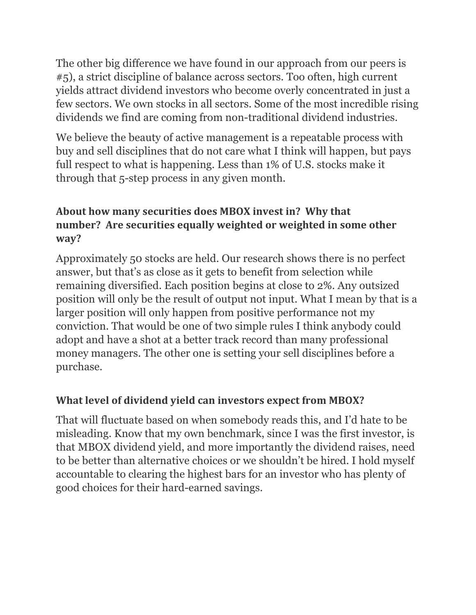The other big difference we have found in our approach from our peers is #5), a strict discipline of balance across sectors. Too often, high current yields attract dividend investors who become overly concentrated in just a few sectors. We own stocks in all sectors. Some of the most incredible rising dividends we find are coming from non-traditional dividend industries.

We believe the beauty of active management is a repeatable process with buy and sell disciplines that do not care what I think will happen, but pays full respect to what is happening. Less than 1% of U.S. stocks make it through that 5-step process in any given month.

#### **About how many securities does MBOX invest in? Why that number? Are securities equally weighted or weighted in some other way?**

Approximately 50 stocks are held. Our research shows there is no perfect answer, but that's as close as it gets to benefit from selection while remaining diversified. Each position begins at close to 2%. Any outsized position will only be the result of output not input. What I mean by that is a larger position will only happen from positive performance not my conviction. That would be one of two simple rules I think anybody could adopt and have a shot at a better track record than many professional money managers. The other one is setting your sell disciplines before a purchase.

#### **What level of dividend yield can investors expect from MBOX?**

That will fluctuate based on when somebody reads this, and I'd hate to be misleading. Know that my own benchmark, since I was the first investor, is that MBOX dividend yield, and more importantly the dividend raises, need to be better than alternative choices or we shouldn't be hired. I hold myself accountable to clearing the highest bars for an investor who has plenty of good choices for their hard-earned savings.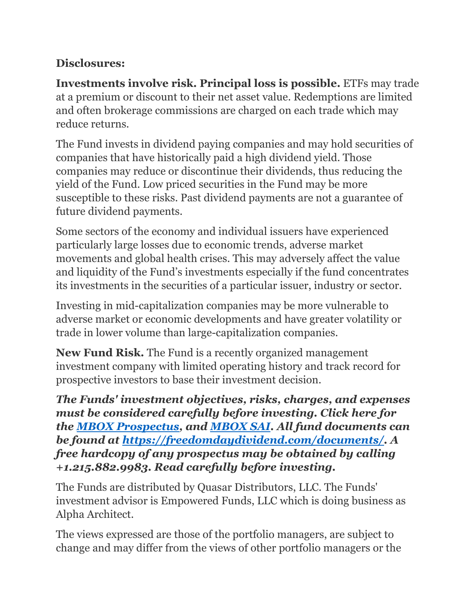## **Disclosures:**

**Investments involve risk. Principal loss is possible.** ETFs may trade at a premium or discount to their net asset value. Redemptions are limited and often brokerage commissions are charged on each trade which may reduce returns.

The Fund invests in dividend paying companies and may hold securities of companies that have historically paid a high dividend yield. Those companies may reduce or discontinue their dividends, thus reducing the yield of the Fund. Low priced securities in the Fund may be more susceptible to these risks. Past dividend payments are not a guarantee of future dividend payments.

Some sectors of the economy and individual issuers have experienced particularly large losses due to economic trends, adverse market movements and global health crises. This may adversely affect the value and liquidity of the Fund's investments especially if the fund concentrates its investments in the securities of a particular issuer, industry or sector.

Investing in mid-capitalization companies may be more vulnerable to adverse market or economic developments and have greater volatility or trade in lower volume than large-capitalization companies.

**New Fund Risk.** The Fund is a recently organized management investment company with limited operating history and track record for prospective investors to base their investment decision.

*The Funds' investment objectives, risks, charges, and expenses must be considered carefully before investing. Click here for the [MBOX Prospectus,](https://alphaarchitect.com/wp-content/uploads/compliance/etf/statutory_prospectus/MBOX%20Pro.pdf) and [MBOX SAI.](https://alphaarchitect.com/wp-content/uploads/compliance/etf/sai/MBOX%20SAI.pdf) All fund documents can be found at [https://freedomdaydividend.com/documents/.](https://freedomdaydividend.com/documents/) A free hardcopy of any prospectus may be obtained by calling +1.215.882.9983. Read carefully before investing.*

The Funds are distributed by Quasar Distributors, LLC. The Funds' investment advisor is Empowered Funds, LLC which is doing business as Alpha Architect.

The views expressed are those of the portfolio managers, are subject to change and may differ from the views of other portfolio managers or the